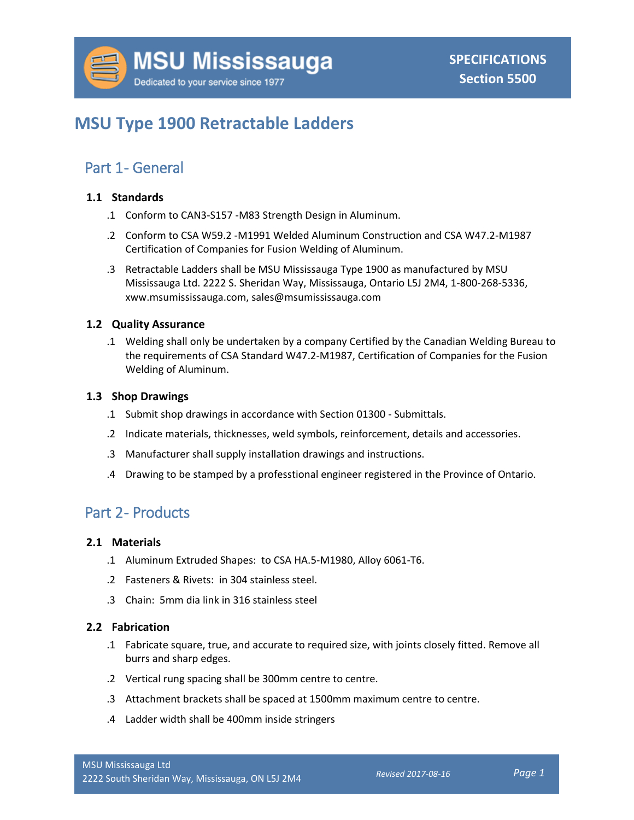# **MSU Type 1900 Retractable Ladders**

## Part 1- General

#### **1.1 Standards**

- .1 Conform to CAN3-S157 -M83 Strength Design in Aluminum.
- .2 Conform to CSA W59.2 -M1991 Welded Aluminum Construction and CSA W47.2-M1987 Certification of Companies for Fusion Welding of Aluminum.
- .3 Retractable Ladders shall be MSU Mississauga Type 1900 as manufactured by MSU Mississauga Ltd. 2222 S. Sheridan Way, Mississauga, Ontario L5J 2M4, 1-800-268-5336, xww.msumississauga.com, sales@msumississauga.com

#### **1.2 Quality Assurance**

.1 Welding shall only be undertaken by a company Certified by the Canadian Welding Bureau to the requirements of CSA Standard W47.2-M1987, Certification of Companies for the Fusion Welding of Aluminum.

#### **1.3 Shop Drawings**

- .1 Submit shop drawings in accordance with Section 01300 Submittals.
- .2 Indicate materials, thicknesses, weld symbols, reinforcement, details and accessories.
- .3 Manufacturer shall supply installation drawings and instructions.
- .4 Drawing to be stamped by a professtional engineer registered in the Province of Ontario.

### Part 2- Products

#### **2.1 Materials**

- .1 Aluminum Extruded Shapes: to CSA HA.5-M1980, Alloy 6061-T6.
- .2 Fasteners & Rivets: in 304 stainless steel.
- .3 Chain: 5mm dia link in 316 stainless steel

#### **2.2 Fabrication**

- .1 Fabricate square, true, and accurate to required size, with joints closely fitted. Remove all burrs and sharp edges.
- .2 Vertical rung spacing shall be 300mm centre to centre.
- .3 Attachment brackets shall be spaced at 1500mm maximum centre to centre.
- .4 Ladder width shall be 400mm inside stringers